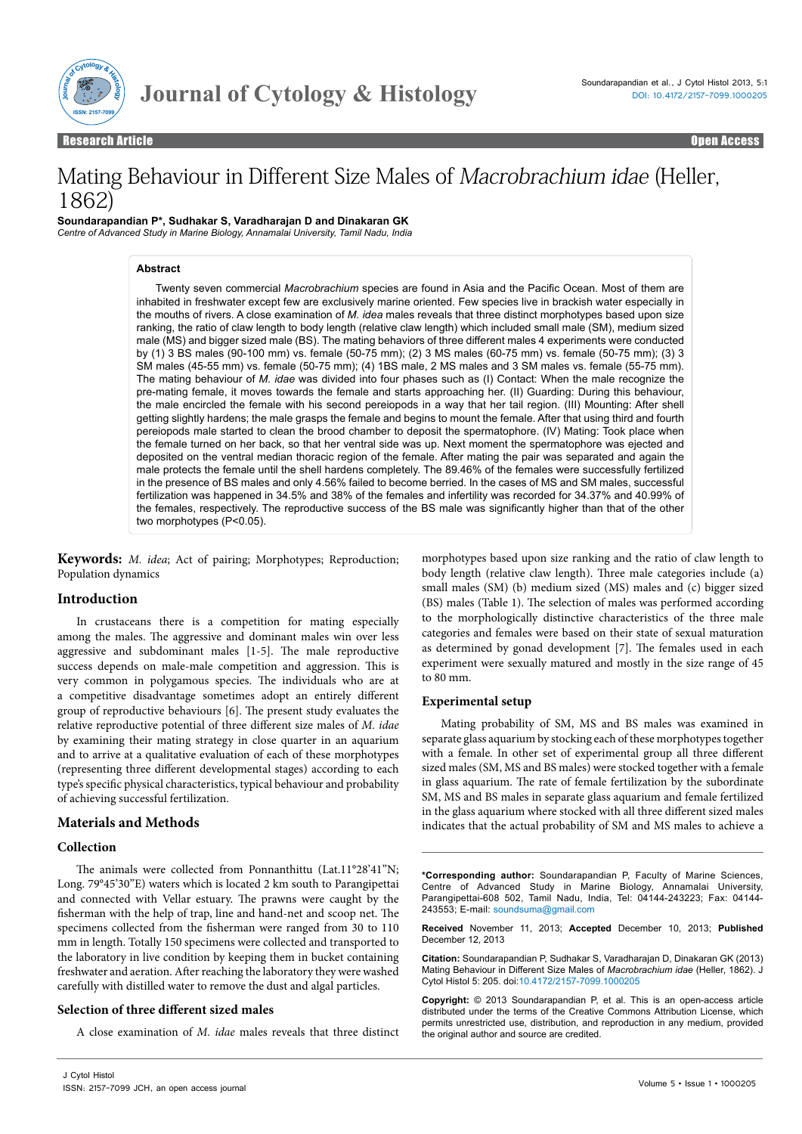

Research Article

Open Access Open Access

# Mating Behaviour in Different Size Males of Macrobrachium idae (Heller, 1862)

**Soundarapandian P\*, Sudhakar S, Varadharajan D and Dinakaran GK** *Centre of Advanced Study in Marine Biology, Annamalai University, Tamil Nadu, India*

## **Abstract**

Twenty seven commercial *Macrobrachium* species are found in Asia and the Pacific Ocean. Most of them are inhabited in freshwater except few are exclusively marine oriented. Few species live in brackish water especially in the mouths of rivers. A close examination of *M. idea* males reveals that three distinct morphotypes based upon size ranking, the ratio of claw length to body length (relative claw length) which included small male (SM), medium sized male (MS) and bigger sized male (BS). The mating behaviors of three different males 4 experiments were conducted by (1) 3 BS males (90-100 mm) vs. female (50-75 mm); (2) 3 MS males (60-75 mm) vs. female (50-75 mm); (3) 3 SM males (45-55 mm) vs. female (50-75 mm); (4) 1BS male, 2 MS males and 3 SM males vs. female (55-75 mm). The mating behaviour of *M. idae* was divided into four phases such as (I) Contact: When the male recognize the pre-mating female, it moves towards the female and starts approaching her. (II) Guarding: During this behaviour, the male encircled the female with his second pereiopods in a way that her tail region. (III) Mounting: After shell getting slightly hardens; the male grasps the female and begins to mount the female. After that using third and fourth pereiopods male started to clean the brood chamber to deposit the spermatophore. (IV) Mating: Took place when the female turned on her back, so that her ventral side was up. Next moment the spermatophore was ejected and deposited on the ventral median thoracic region of the female. After mating the pair was separated and again the male protects the female until the shell hardens completely. The 89.46% of the females were successfully fertilized in the presence of BS males and only 4.56% failed to become berried. In the cases of MS and SM males, successful fertilization was happened in 34.5% and 38% of the females and infertility was recorded for 34.37% and 40.99% of the females, respectively. The reproductive success of the BS male was significantly higher than that of the other two morphotypes (P<0.05).

**Keywords:** *M. idea*; Act of pairing; Morphotypes; Reproduction; Population dynamics

# **Introduction**

In crustaceans there is a competition for mating especially among the males. The aggressive and dominant males win over less aggressive and subdominant males [1-5]. The male reproductive success depends on male-male competition and aggression. This is very common in polygamous species. The individuals who are at a competitive disadvantage sometimes adopt an entirely different group of reproductive behaviours [6]. The present study evaluates the relative reproductive potential of three different size males of *M. idae* by examining their mating strategy in close quarter in an aquarium and to arrive at a qualitative evaluation of each of these morphotypes (representing three different developmental stages) according to each type's specific physical characteristics, typical behaviour and probability of achieving successful fertilization.

# **Materials and Methods**

# **Collection**

The animals were collected from Ponnanthittu (Lat.11°28'41"N; Long. 79°45'30"E) waters which is located 2 km south to Parangipettai and connected with Vellar estuary. The prawns were caught by the fisherman with the help of trap, line and hand-net and scoop net. The specimens collected from the fisherman were ranged from 30 to 110 mm in length. Totally 150 specimens were collected and transported to the laboratory in live condition by keeping them in bucket containing freshwater and aeration. After reaching the laboratory they were washed carefully with distilled water to remove the dust and algal particles.

# **Selection of three different sized males**

A close examination of *M. idae* males reveals that three distinct

morphotypes based upon size ranking and the ratio of claw length to body length (relative claw length). Three male categories include (a) small males (SM) (b) medium sized (MS) males and (c) bigger sized (BS) males (Table 1). The selection of males was performed according to the morphologically distinctive characteristics of the three male categories and females were based on their state of sexual maturation as determined by gonad development [7]. The females used in each experiment were sexually matured and mostly in the size range of 45 to 80 mm.

# **Experimental setup**

Mating probability of SM, MS and BS males was examined in separate glass aquarium by stocking each of these morphotypes together with a female. In other set of experimental group all three different sized males (SM, MS and BS males) were stocked together with a female in glass aquarium. The rate of female fertilization by the subordinate SM, MS and BS males in separate glass aquarium and female fertilized in the glass aquarium where stocked with all three different sized males indicates that the actual probability of SM and MS males to achieve a

**\*Corresponding author:** Soundarapandian P, Faculty of Marine Sciences, Centre of Advanced Study in Marine Biology, Annamalai University, Parangipettai-608 502, Tamil Nadu, India, Tel: 04144-243223; Fax: 04144- 243553; E-mail: soundsuma@gmail.com

**Received** November 11, 2013; **Accepted** December 10, 2013; **Published** December 12, 2013

**Citation:** Soundarapandian P, Sudhakar S, Varadharajan D, Dinakaran GK (2013) Mating Behaviour in Different Size Males of *Macrobrachium idae* (Heller, 1862). J Cytol Histol 5: 205. doi:10.4172/2157-7099.1000205

**Copyright:** © 2013 Soundarapandian P, et al. This is an open-access article distributed under the terms of the Creative Commons Attribution License, which permits unrestricted use, distribution, and reproduction in any medium, provided the original author and source are credited.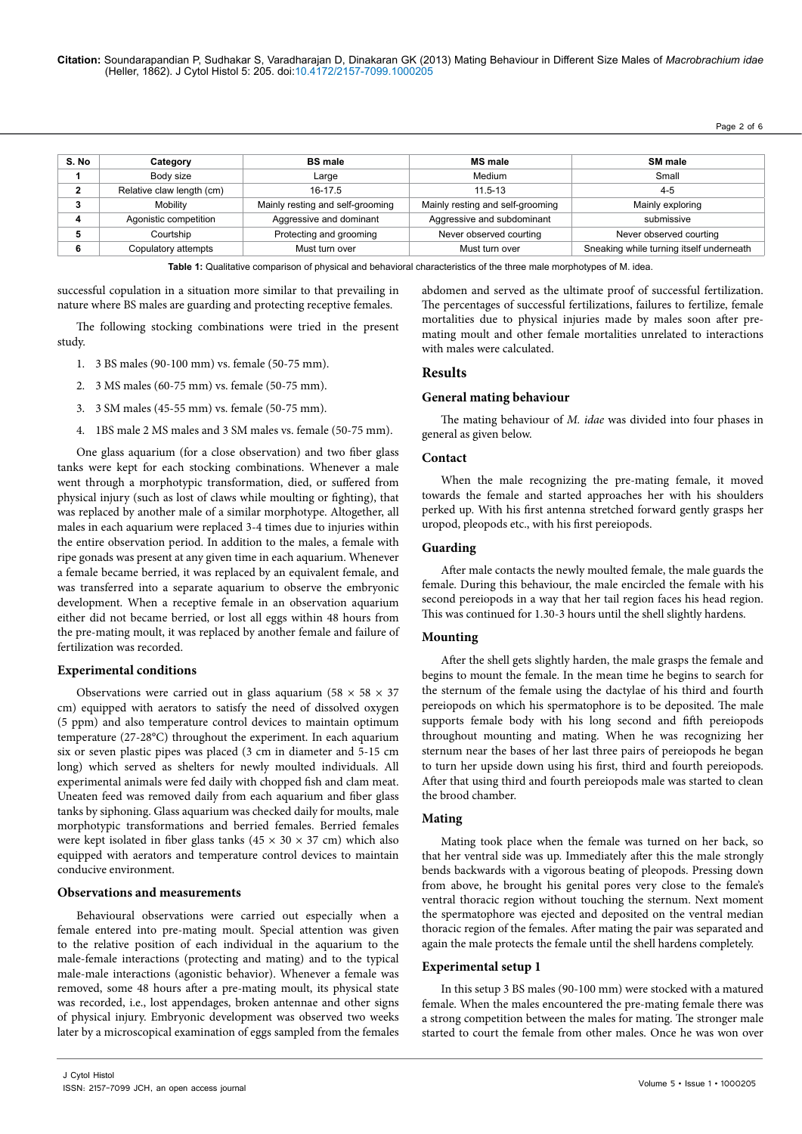Page 2 of 6

| S. No   | Category                  | <b>BS</b> male                   | <b>MS</b> male                   | <b>SM</b> male                           |
|---------|---------------------------|----------------------------------|----------------------------------|------------------------------------------|
|         | Body size                 | Large                            | Medium                           | Small                                    |
| ີ       | Relative claw length (cm) | $16-17.5$                        | $11.5 - 13$                      | $4-5$                                    |
| ◠<br>J. | Mobility                  | Mainly resting and self-grooming | Mainly resting and self-grooming | Mainly exploring                         |
|         | Agonistic competition     | Aggressive and dominant          | Aggressive and subdominant       | submissive                               |
| 5       | Courtship                 | Protecting and grooming          | Never observed courting          | Never observed courting                  |
| 6       | Copulatory attempts       | Must turn over                   | Must turn over                   | Sneaking while turning itself underneath |

**Table 1:** Qualitative comparison of physical and behavioral characteristics of the three male morphotypes of M. idea.

successful copulation in a situation more similar to that prevailing in nature where BS males are guarding and protecting receptive females.

The following stocking combinations were tried in the present study.

- 1. 3 BS males (90-100 mm) vs. female (50-75 mm).
- 2. 3 MS males (60-75 mm) vs. female (50-75 mm).
- 3. 3 SM males (45-55 mm) vs. female (50-75 mm).
- 4. 1BS male 2 MS males and 3 SM males vs. female (50-75 mm).

One glass aquarium (for a close observation) and two fiber glass tanks were kept for each stocking combinations. Whenever a male went through a morphotypic transformation, died, or suffered from physical injury (such as lost of claws while moulting or fighting), that was replaced by another male of a similar morphotype. Altogether, all males in each aquarium were replaced 3-4 times due to injuries within the entire observation period. In addition to the males, a female with ripe gonads was present at any given time in each aquarium. Whenever a female became berried, it was replaced by an equivalent female, and was transferred into a separate aquarium to observe the embryonic development. When a receptive female in an observation aquarium either did not became berried, or lost all eggs within 48 hours from the pre-mating moult, it was replaced by another female and failure of fertilization was recorded.

## **Experimental conditions**

Observations were carried out in glass aquarium (58  $\times$  58  $\times$  37 cm) equipped with aerators to satisfy the need of dissolved oxygen (5 ppm) and also temperature control devices to maintain optimum temperature (27-28°C) throughout the experiment. In each aquarium six or seven plastic pipes was placed (3 cm in diameter and 5-15 cm long) which served as shelters for newly moulted individuals. All experimental animals were fed daily with chopped fish and clam meat. Uneaten feed was removed daily from each aquarium and fiber glass tanks by siphoning. Glass aquarium was checked daily for moults, male morphotypic transformations and berried females. Berried females were kept isolated in fiber glass tanks ( $45 \times 30 \times 37$  cm) which also equipped with aerators and temperature control devices to maintain conducive environment.

#### **Observations and measurements**

Behavioural observations were carried out especially when a female entered into pre-mating moult. Special attention was given to the relative position of each individual in the aquarium to the male-female interactions (protecting and mating) and to the typical male-male interactions (agonistic behavior). Whenever a female was removed, some 48 hours after a pre-mating moult, its physical state was recorded, i.e., lost appendages, broken antennae and other signs of physical injury. Embryonic development was observed two weeks later by a microscopical examination of eggs sampled from the females

abdomen and served as the ultimate proof of successful fertilization. The percentages of successful fertilizations, failures to fertilize, female mortalities due to physical injuries made by males soon after premating moult and other female mortalities unrelated to interactions with males were calculated.

## **Results**

#### **General mating behaviour**

The mating behaviour of *M. idae* was divided into four phases in general as given below.

#### **Contact**

When the male recognizing the pre-mating female, it moved towards the female and started approaches her with his shoulders perked up. With his first antenna stretched forward gently grasps her uropod, pleopods etc., with his first pereiopods.

### **Guarding**

After male contacts the newly moulted female, the male guards the female. During this behaviour, the male encircled the female with his second pereiopods in a way that her tail region faces his head region. This was continued for 1.30-3 hours until the shell slightly hardens.

#### **Mounting**

After the shell gets slightly harden, the male grasps the female and begins to mount the female. In the mean time he begins to search for the sternum of the female using the dactylae of his third and fourth pereiopods on which his spermatophore is to be deposited. The male supports female body with his long second and fifth pereiopods throughout mounting and mating. When he was recognizing her sternum near the bases of her last three pairs of pereiopods he began to turn her upside down using his first, third and fourth pereiopods. After that using third and fourth pereiopods male was started to clean the brood chamber.

#### **Mating**

Mating took place when the female was turned on her back, so that her ventral side was up. Immediately after this the male strongly bends backwards with a vigorous beating of pleopods. Pressing down from above, he brought his genital pores very close to the female's ventral thoracic region without touching the sternum. Next moment the spermatophore was ejected and deposited on the ventral median thoracic region of the females. After mating the pair was separated and again the male protects the female until the shell hardens completely.

#### **Experimental setup 1**

In this setup 3 BS males (90-100 mm) were stocked with a matured female. When the males encountered the pre-mating female there was a strong competition between the males for mating. The stronger male started to court the female from other males. Once he was won over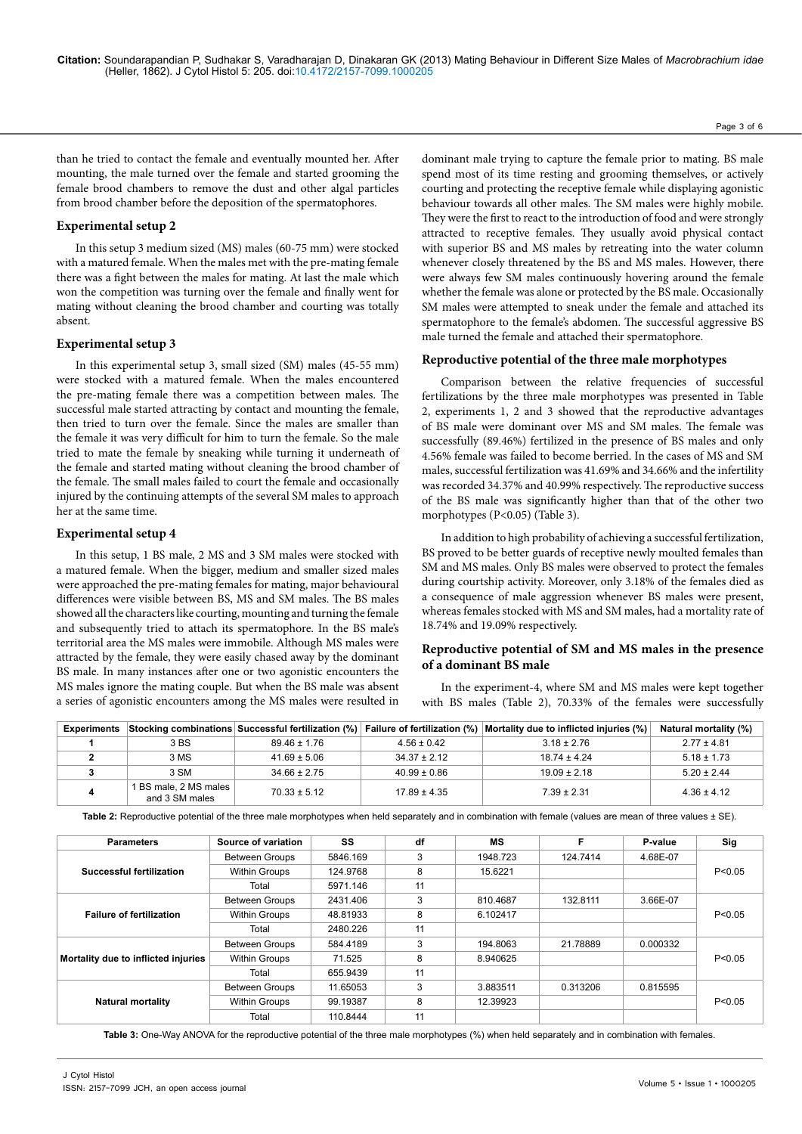than he tried to contact the female and eventually mounted her. After mounting, the male turned over the female and started grooming the female brood chambers to remove the dust and other algal particles from brood chamber before the deposition of the spermatophores.

### **Experimental setup 2**

In this setup 3 medium sized (MS) males (60-75 mm) were stocked with a matured female. When the males met with the pre-mating female there was a fight between the males for mating. At last the male which won the competition was turning over the female and finally went for mating without cleaning the brood chamber and courting was totally absent.

## **Experimental setup 3**

In this experimental setup 3, small sized (SM) males (45-55 mm) were stocked with a matured female. When the males encountered the pre-mating female there was a competition between males. The successful male started attracting by contact and mounting the female, then tried to turn over the female. Since the males are smaller than the female it was very difficult for him to turn the female. So the male tried to mate the female by sneaking while turning it underneath of the female and started mating without cleaning the brood chamber of the female. The small males failed to court the female and occasionally injured by the continuing attempts of the several SM males to approach her at the same time.

#### **Experimental setup 4**

In this setup, 1 BS male, 2 MS and 3 SM males were stocked with a matured female. When the bigger, medium and smaller sized males were approached the pre-mating females for mating, major behavioural differences were visible between BS, MS and SM males. The BS males showed all the characters like courting, mounting and turning the female and subsequently tried to attach its spermatophore. In the BS male's territorial area the MS males were immobile. Although MS males were attracted by the female, they were easily chased away by the dominant BS male. In many instances after one or two agonistic encounters the MS males ignore the mating couple. But when the BS male was absent a series of agonistic encounters among the MS males were resulted in

dominant male trying to capture the female prior to mating. BS male spend most of its time resting and grooming themselves, or actively courting and protecting the receptive female while displaying agonistic behaviour towards all other males. The SM males were highly mobile. They were the first to react to the introduction of food and were strongly attracted to receptive females. They usually avoid physical contact with superior BS and MS males by retreating into the water column whenever closely threatened by the BS and MS males. However, there were always few SM males continuously hovering around the female whether the female was alone or protected by the BS male. Occasionally SM males were attempted to sneak under the female and attached its spermatophore to the female's abdomen. The successful aggressive BS male turned the female and attached their spermatophore.

## **Reproductive potential of the three male morphotypes**

Comparison between the relative frequencies of successful fertilizations by the three male morphotypes was presented in Table 2, experiments 1, 2 and 3 showed that the reproductive advantages of BS male were dominant over MS and SM males. The female was successfully (89.46%) fertilized in the presence of BS males and only 4.56% female was failed to become berried. In the cases of MS and SM males, successful fertilization was 41.69% and 34.66% and the infertility was recorded 34.37% and 40.99% respectively. The reproductive success of the BS male was significantly higher than that of the other two morphotypes (P<0.05) (Table 3).

In addition to high probability of achieving a successful fertilization, BS proved to be better guards of receptive newly moulted females than SM and MS males. Only BS males were observed to protect the females during courtship activity. Moreover, only 3.18% of the females died as a consequence of male aggression whenever BS males were present, whereas females stocked with MS and SM males, had a mortality rate of 18.74% and 19.09% respectively.

## **Reproductive potential of SM and MS males in the presence of a dominant BS male**

In the experiment-4, where SM and MS males were kept together with BS males (Table 2), 70.33% of the females were successfully

| <b>Experiments</b> |                                         | Stocking combinations Successful fertilization (%) |                  | Failure of fertilization (%) Mortality due to inflicted injuries (%) | Natural mortality (%) |
|--------------------|-----------------------------------------|----------------------------------------------------|------------------|----------------------------------------------------------------------|-----------------------|
|                    | 3 BS                                    | $89.46 \pm 1.76$                                   | $4.56 \pm 0.42$  | $3.18 \pm 2.76$                                                      | $2.77 \pm 4.81$       |
|                    | 3 MS                                    | $41.69 \pm 5.06$                                   | $34.37 \pm 2.12$ | $18.74 \pm 4.24$                                                     | $5.18 \pm 1.73$       |
|                    | 3 SM                                    | $34.66 \pm 2.75$                                   | $40.99 \pm 0.86$ | $19.09 \pm 2.18$                                                     | $5.20 \pm 2.44$       |
|                    | 1 BS male, 2 MS males<br>and 3 SM males | $70.33 \pm 5.12$                                   | $17.89 \pm 4.35$ | $7.39 \pm 2.31$                                                      | $4.36 \pm 4.12$       |

Table 2: Reproductive potential of the three male morphotypes when held separately and in combination with female (values are mean of three values ± SE).

| <b>Parameters</b>                   | Source of variation   | SS       | df | <b>MS</b> | F        | P-value  | Sig      |
|-------------------------------------|-----------------------|----------|----|-----------|----------|----------|----------|
|                                     | <b>Between Groups</b> | 5846.169 | 3  | 1948.723  | 124.7414 | 4.68E-07 | P < 0.05 |
| Successful fertilization            | <b>Within Groups</b>  | 124.9768 | 8  | 15.6221   |          |          |          |
|                                     | Total                 | 5971.146 | 11 |           |          |          |          |
|                                     | <b>Between Groups</b> | 2431.406 | 3  | 810.4687  | 132.8111 | 3.66E-07 | P < 0.05 |
| <b>Failure of fertilization</b>     | <b>Within Groups</b>  | 48.81933 | 8  | 6.102417  |          |          |          |
|                                     | Total                 | 2480.226 | 11 |           |          |          |          |
|                                     | <b>Between Groups</b> | 584.4189 | 3  | 194.8063  | 21.78889 | 0.000332 | P < 0.05 |
| Mortality due to inflicted injuries | <b>Within Groups</b>  | 71.525   | 8  | 8.940625  |          |          |          |
|                                     | Total                 | 655.9439 | 11 |           |          |          |          |
|                                     | <b>Between Groups</b> | 11.65053 | 3  | 3.883511  | 0.313206 | 0.815595 | P < 0.05 |
| <b>Natural mortality</b>            | <b>Within Groups</b>  | 99.19387 | 8  | 12.39923  |          |          |          |
|                                     | Total                 | 110.8444 | 11 |           |          |          |          |

Table 3: One-Way ANOVA for the reproductive potential of the three male morphotypes (%) when held separately and in combination with females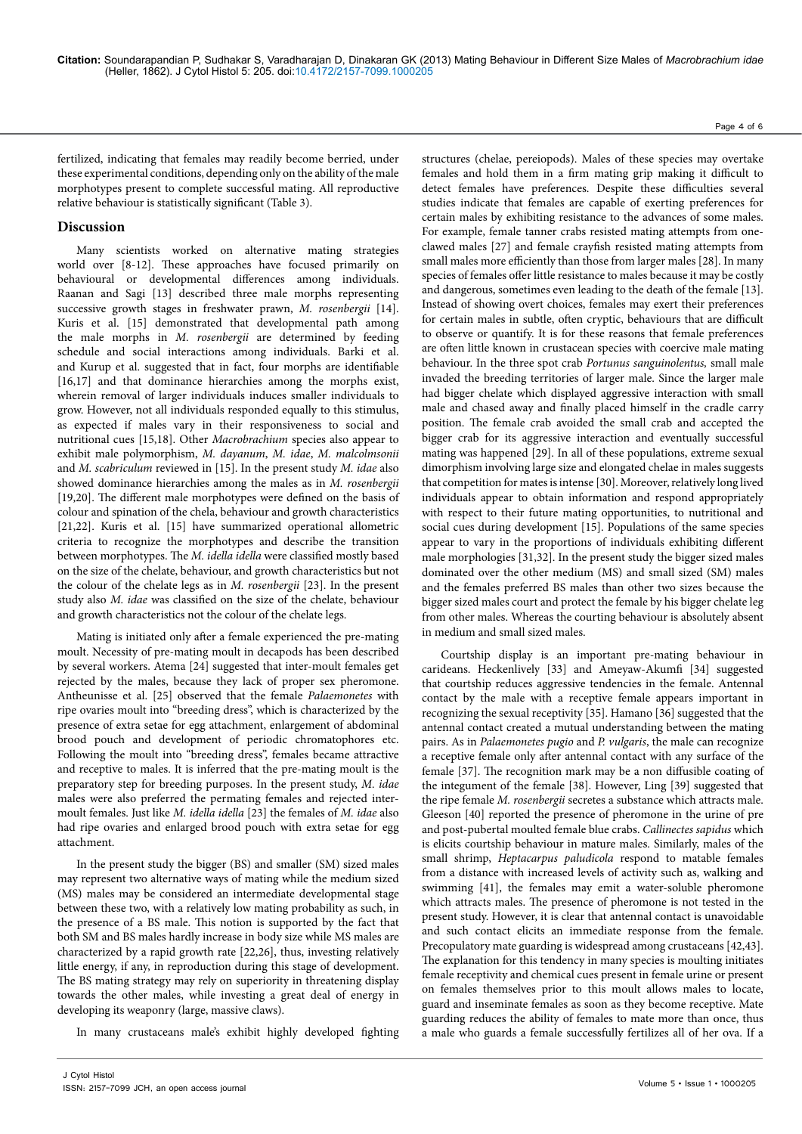Page 4 of 6

fertilized, indicating that females may readily become berried, under these experimental conditions, depending only on the ability of the male morphotypes present to complete successful mating. All reproductive relative behaviour is statistically significant (Table 3).

## **Discussion**

Many scientists worked on alternative mating strategies world over [8-12]. These approaches have focused primarily on behavioural or developmental differences among individuals. Raanan and Sagi [13] described three male morphs representing successive growth stages in freshwater prawn, *M. rosenbergii* [14]. Kuris et al. [15] demonstrated that developmental path among the male morphs in *M. rosenbergii* are determined by feeding schedule and social interactions among individuals. Barki et al. and Kurup et al. suggested that in fact, four morphs are identifiable [16,17] and that dominance hierarchies among the morphs exist, wherein removal of larger individuals induces smaller individuals to grow. However, not all individuals responded equally to this stimulus, as expected if males vary in their responsiveness to social and nutritional cues [15,18]. Other *Macrobrachium* species also appear to exhibit male polymorphism, *M. dayanum*, *M. idae*, *M. malcolmsonii* and *M. scabriculum* reviewed in [15]. In the present study *M. idae* also showed dominance hierarchies among the males as in *M. rosenbergii* [19,20]. The different male morphotypes were defined on the basis of colour and spination of the chela, behaviour and growth characteristics [21,22]. Kuris et al. [15] have summarized operational allometric criteria to recognize the morphotypes and describe the transition between morphotypes. The *M. idella idella* were classified mostly based on the size of the chelate, behaviour, and growth characteristics but not the colour of the chelate legs as in *M. rosenbergii* [23]. In the present study also *M. idae* was classified on the size of the chelate, behaviour and growth characteristics not the colour of the chelate legs.

Mating is initiated only after a female experienced the pre-mating moult. Necessity of pre-mating moult in decapods has been described by several workers. Atema [24] suggested that inter-moult females get rejected by the males, because they lack of proper sex pheromone. Antheunisse et al. [25] observed that the female *Palaemonetes* with ripe ovaries moult into "breeding dress", which is characterized by the presence of extra setae for egg attachment, enlargement of abdominal brood pouch and development of periodic chromatophores etc. Following the moult into "breeding dress", females became attractive and receptive to males. It is inferred that the pre-mating moult is the preparatory step for breeding purposes. In the present study, *M. idae* males were also preferred the permating females and rejected intermoult females. Just like *M. idella idella* [23] the females of *M. idae* also had ripe ovaries and enlarged brood pouch with extra setae for egg attachment.

In the present study the bigger (BS) and smaller (SM) sized males may represent two alternative ways of mating while the medium sized (MS) males may be considered an intermediate developmental stage between these two, with a relatively low mating probability as such, in the presence of a BS male. This notion is supported by the fact that both SM and BS males hardly increase in body size while MS males are characterized by a rapid growth rate [22,26], thus, investing relatively little energy, if any, in reproduction during this stage of development. The BS mating strategy may rely on superiority in threatening display towards the other males, while investing a great deal of energy in developing its weaponry (large, massive claws).

In many crustaceans male's exhibit highly developed fighting

structures (chelae, pereiopods). Males of these species may overtake females and hold them in a firm mating grip making it difficult to detect females have preferences. Despite these difficulties several studies indicate that females are capable of exerting preferences for certain males by exhibiting resistance to the advances of some males. For example, female tanner crabs resisted mating attempts from oneclawed males [27] and female crayfish resisted mating attempts from small males more efficiently than those from larger males [28]. In many species of females offer little resistance to males because it may be costly and dangerous, sometimes even leading to the death of the female [13]. Instead of showing overt choices, females may exert their preferences for certain males in subtle, often cryptic, behaviours that are difficult to observe or quantify. It is for these reasons that female preferences are often little known in crustacean species with coercive male mating behaviour. In the three spot crab *Portunus sanguinolentus,* small male invaded the breeding territories of larger male. Since the larger male had bigger chelate which displayed aggressive interaction with small male and chased away and finally placed himself in the cradle carry position. The female crab avoided the small crab and accepted the bigger crab for its aggressive interaction and eventually successful mating was happened [29]. In all of these populations, extreme sexual dimorphism involving large size and elongated chelae in males suggests that competition for mates is intense [30]. Moreover, relatively long lived individuals appear to obtain information and respond appropriately with respect to their future mating opportunities, to nutritional and social cues during development [15]. Populations of the same species appear to vary in the proportions of individuals exhibiting different male morphologies [31,32]. In the present study the bigger sized males dominated over the other medium (MS) and small sized (SM) males and the females preferred BS males than other two sizes because the bigger sized males court and protect the female by his bigger chelate leg from other males. Whereas the courting behaviour is absolutely absent in medium and small sized males.

Courtship display is an important pre-mating behaviour in carideans. Heckenlively [33] and Ameyaw-Akumfi [34] suggested that courtship reduces aggressive tendencies in the female. Antennal contact by the male with a receptive female appears important in recognizing the sexual receptivity [35]. Hamano [36] suggested that the antennal contact created a mutual understanding between the mating pairs. As in *Palaemonetes pugio* and *P. vulgaris*, the male can recognize a receptive female only after antennal contact with any surface of the female [37]. The recognition mark may be a non diffusible coating of the integument of the female [38]. However, Ling [39] suggested that the ripe female *M. rosenbergii* secretes a substance which attracts male. Gleeson [40] reported the presence of pheromone in the urine of pre and post-pubertal moulted female blue crabs. *Callinectes sapidus* which is elicits courtship behaviour in mature males. Similarly, males of the small shrimp, *Heptacarpus paludicola* respond to matable females from a distance with increased levels of activity such as, walking and swimming [41], the females may emit a water-soluble pheromone which attracts males. The presence of pheromone is not tested in the present study. However, it is clear that antennal contact is unavoidable and such contact elicits an immediate response from the female. Precopulatory mate guarding is widespread among crustaceans [42,43]. The explanation for this tendency in many species is moulting initiates female receptivity and chemical cues present in female urine or present on females themselves prior to this moult allows males to locate, guard and inseminate females as soon as they become receptive. Mate guarding reduces the ability of females to mate more than once, thus a male who guards a female successfully fertilizes all of her ova. If a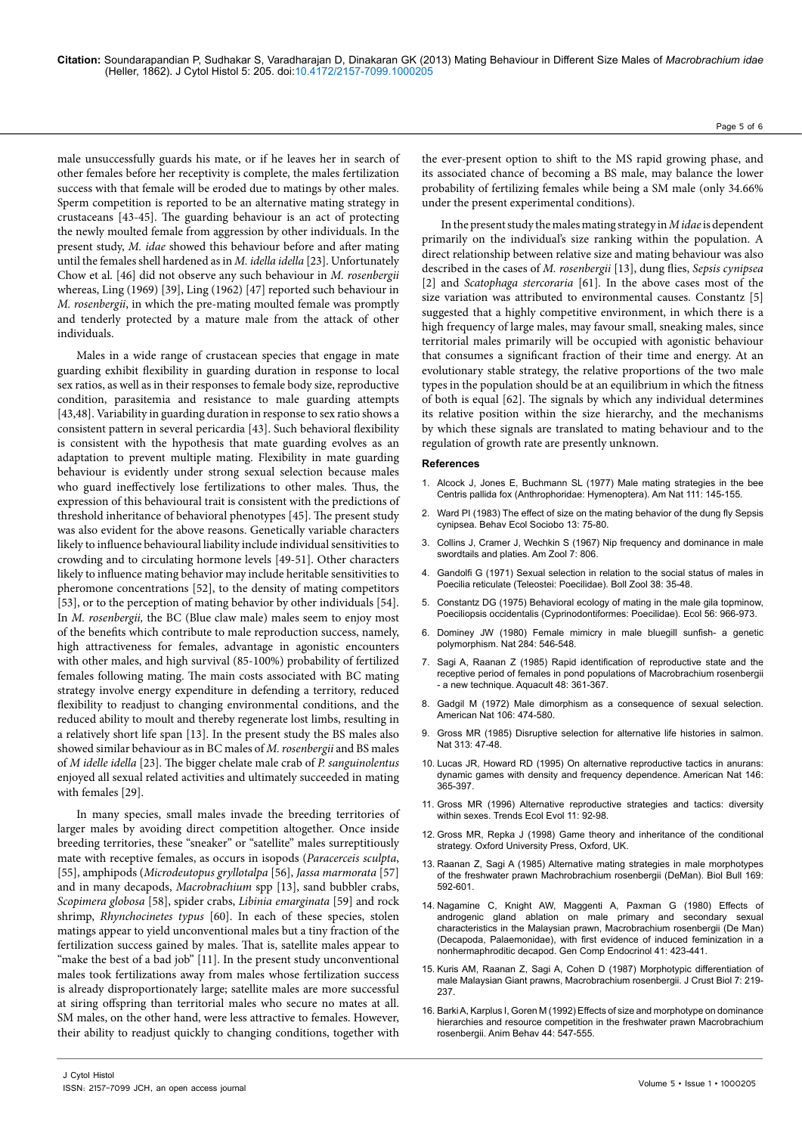male unsuccessfully guards his mate, or if he leaves her in search of other females before her receptivity is complete, the males fertilization success with that female will be eroded due to matings by other males. Sperm competition is reported to be an alternative mating strategy in crustaceans [43-45]. The guarding behaviour is an act of protecting the newly moulted female from aggression by other individuals. In the present study, *M. idae* showed this behaviour before and after mating until the females shell hardened as in *M. idella idella* [23]. Unfortunately Chow et al. [46] did not observe any such behaviour in *M. rosenbergii* whereas, Ling (1969) [39], Ling (1962) [47] reported such behaviour in *M. rosenbergii*, in which the pre-mating moulted female was promptly and tenderly protected by a mature male from the attack of other individuals.

Males in a wide range of crustacean species that engage in mate guarding exhibit flexibility in guarding duration in response to local sex ratios, as well as in their responses to female body size, reproductive condition, parasitemia and resistance to male guarding attempts [43,48]. Variability in guarding duration in response to sex ratio shows a consistent pattern in several pericardia [43]. Such behavioral flexibility is consistent with the hypothesis that mate guarding evolves as an adaptation to prevent multiple mating. Flexibility in mate guarding behaviour is evidently under strong sexual selection because males who guard ineffectively lose fertilizations to other males. Thus, the expression of this behavioural trait is consistent with the predictions of threshold inheritance of behavioral phenotypes [45]. The present study was also evident for the above reasons. Genetically variable characters likely to influence behavioural liability include individual sensitivities to crowding and to circulating hormone levels [49-51]. Other characters likely to influence mating behavior may include heritable sensitivities to pheromone concentrations [52], to the density of mating competitors [53], or to the perception of mating behavior by other individuals [54]. In *M. rosenbergii,* the BC (Blue claw male) males seem to enjoy most of the benefits which contribute to male reproduction success, namely, high attractiveness for females, advantage in agonistic encounters with other males, and high survival (85-100%) probability of fertilized females following mating. The main costs associated with BC mating strategy involve energy expenditure in defending a territory, reduced flexibility to readjust to changing environmental conditions, and the reduced ability to moult and thereby regenerate lost limbs, resulting in a relatively short life span [13]. In the present study the BS males also showed similar behaviour as in BC males of *M. rosenbergii* and BS males of *M idelle idella* [23]*.* The bigger chelate male crab of *P. sanguinolentus* enjoyed all sexual related activities and ultimately succeeded in mating with females [29].

In many species, small males invade the breeding territories of larger males by avoiding direct competition altogether. Once inside breeding territories, these "sneaker" or "satellite" males surreptitiously mate with receptive females, as occurs in isopods (*Paracerceis sculpta*, [55], amphipods (*Microdeutopus gryllotalpa* [56], *Jassa marmorata* [57] and in many decapods, *Macrobrachium* spp [13], sand bubbler crabs, *Scopimera globosa* [58], spider crabs, *Libinia emarginata* [59] and rock shrimp, *Rhynchocinetes typus* [60]. In each of these species, stolen matings appear to yield unconventional males but a tiny fraction of the fertilization success gained by males. That is, satellite males appear to "make the best of a bad job" [11]. In the present study unconventional males took fertilizations away from males whose fertilization success is already disproportionately large; satellite males are more successful at siring offspring than territorial males who secure no mates at all. SM males, on the other hand, were less attractive to females. However, their ability to readjust quickly to changing conditions, together with

the ever-present option to shift to the MS rapid growing phase, and its associated chance of becoming a BS male, may balance the lower probability of fertilizing females while being a SM male (only 34.66% under the present experimental conditions).

In the present study the males mating strategy in *M idae* is dependent primarily on the individual's size ranking within the population. A direct relationship between relative size and mating behaviour was also described in the cases of *M. rosenbergii* [13], dung flies, *Sepsis cynipsea*  [2] and *Scatophaga stercoraria* [61]*.* In the above cases most of the size variation was attributed to environmental causes. Constantz [5] suggested that a highly competitive environment, in which there is a high frequency of large males, may favour small, sneaking males, since territorial males primarily will be occupied with agonistic behaviour that consumes a significant fraction of their time and energy. At an evolutionary stable strategy, the relative proportions of the two male types in the population should be at an equilibrium in which the fitness of both is equal [62]. The signals by which any individual determines its relative position within the size hierarchy, and the mechanisms by which these signals are translated to mating behaviour and to the regulation of growth rate are presently unknown.

#### **References**

- Alcock J, Jones E, Buchmann SL (1977) Male mating strategies in the bee [Centris pallida fox \(Anthrophoridae: Hymenoptera\). Am Nat 111: 145-155.](http://www.jstor.org/discover/10.2307/2459986?uid=3737496&uid=2&uid=4&sid=21103094169117)
- 2. [Ward PI \(1983\) The effect of size on the mating behavior of the dung fly Sepsis](http://www.jstor.org/discover/10.2307/4599610?uid=3737496&uid=2&uid=4&sid=21103094169177)  [cynipsea. Behav Ecol Sociobo 13: 75-80.](http://www.jstor.org/discover/10.2307/4599610?uid=3737496&uid=2&uid=4&sid=21103094169177)
- Collins J, Cramer J, Wechkin S (1967) Nip frequency and dominance in male swordtails and platies. Am Zool 7: 806.
- 4. [Gandolfi G \(1971\) Sexual selection in relation to the social status of males in](http://www.tandfonline.com/doi/abs/10.1080/11250007109436953#.UqX3PtKmjNI)  [Poecilia reticulate \(Teleostei: Poecilidae\). Boll Zool 38: 35-48.](http://www.tandfonline.com/doi/abs/10.1080/11250007109436953#.UqX3PtKmjNI)
- 5. [Constantz DG \(1975\) Behavioral ecology of mating in the male gila topminow,](http://www.jstor.org/discover/10.2307/1936307?uid=3738256&uid=2&uid=4&sid=21103094169177)  [Poeciliopsis occidentalis \(Cyprinodontiformes: Poecilidae\). Ecol 56: 966-973.](http://www.jstor.org/discover/10.2307/1936307?uid=3738256&uid=2&uid=4&sid=21103094169177)
- 6. [Dominey JW \(1980\) Female mimicry in male bluegill sunfish- a genetic](http://www.nature.com/nature/journal/v284/n5756/abs/284546a0.html)  [polymorphism. Nat 284: 546-548.](http://www.nature.com/nature/journal/v284/n5756/abs/284546a0.html)
- 7. Sagi A, Raanan Z (1985) Rapid identification of reproductive state and the receptive period of females in pond populations of Macrobrachium rosenbergii - a new technique. Aquacult 48: 361-367.
- 8. [Gadgil M \(1972\) Male dimorphism as a consequence of sexual selection.](http://www.jstor.org/discover/10.2307/2459720?uid=3738256&uid=2&uid=4&sid=21103094169177)  [American Nat 106: 474-580.](http://www.jstor.org/discover/10.2307/2459720?uid=3738256&uid=2&uid=4&sid=21103094169177)
- 9. [Gross MR \(1985\) Disruptive selection for alternative life histories in salmon.](http://labs.eeb.utoronto.ca/gross/Gross1985.pdf)  [Nat 313: 47-48.](http://labs.eeb.utoronto.ca/gross/Gross1985.pdf)
- 10. [Lucas JR, Howard RD \(1995\) On alternative reproductive tactics in anurans:](http://www.jstor.org/discover/10.2307/2463113?uid=3737496&uid=2&uid=4&sid=21103094169177)  [dynamic games with density and frequency dependence. American Nat 146:](http://www.jstor.org/discover/10.2307/2463113?uid=3737496&uid=2&uid=4&sid=21103094169177)  [365-397.](http://www.jstor.org/discover/10.2307/2463113?uid=3737496&uid=2&uid=4&sid=21103094169177)
- 11. [Gross MR \(1996\) Alternative reproductive strategies and tactics: diversity](http://www.ncbi.nlm.nih.gov/pubmed/21237769)  [within sexes. Trends Ecol Evol 11: 92-98.](http://www.ncbi.nlm.nih.gov/pubmed/21237769)
- 12. Gross MR, Repka J (1998) Game theory and inheritance of the conditional strategy. Oxford University Press, Oxford, UK.
- 13. Raanan Z, Sagi A (1985) Alternative mating strategies in male morphotypes of the freshwater prawn Machrobrachium rosenbergii (DeMan). Biol Bull 169: 592-601.
- 14. [Nagamine C, Knight AW, Maggenti A, Paxman G \(1980\) Effects of](http://www.ncbi.nlm.nih.gov/pubmed/7409450)  [androgenic gland ablation on male primary and secondary sexual](http://www.ncbi.nlm.nih.gov/pubmed/7409450)  [characteristics in the Malaysian prawn, Macrobrachium rosenbergii \(De Man\)](http://www.ncbi.nlm.nih.gov/pubmed/7409450)  [\(Decapoda, Palaemonidae\), with first evidence of induced feminization in a](http://www.ncbi.nlm.nih.gov/pubmed/7409450)  [nonhermaphroditic decapod. Gen Comp Endocrinol 41: 423-441.](http://www.ncbi.nlm.nih.gov/pubmed/7409450)
- 15. [Kuris AM, Raanan Z, Sagi A, Cohen D \(1987\) Morphotypic differentiation of](http://www.jstor.org/discover/10.2307/1548603?uid=3737496&uid=2&uid=4&sid=21103094169177)  [male Malaysian Giant prawns, Macrobrachium rosenbergii. J Crust Biol 7: 219-](http://www.jstor.org/discover/10.2307/1548603?uid=3737496&uid=2&uid=4&sid=21103094169177) [237.](http://www.jstor.org/discover/10.2307/1548603?uid=3737496&uid=2&uid=4&sid=21103094169177)
- 16. [Barki A, Karplus I, Goren M \(1992\) Effects of size and morphotype on dominance](http://www.sciencedirect.com/science/article/pii/000334729290064G)  [hierarchies and resource competition in the freshwater prawn Macrobrachium](http://www.sciencedirect.com/science/article/pii/000334729290064G)  [rosenbergii. Anim Behav 44: 547-555.](http://www.sciencedirect.com/science/article/pii/000334729290064G)